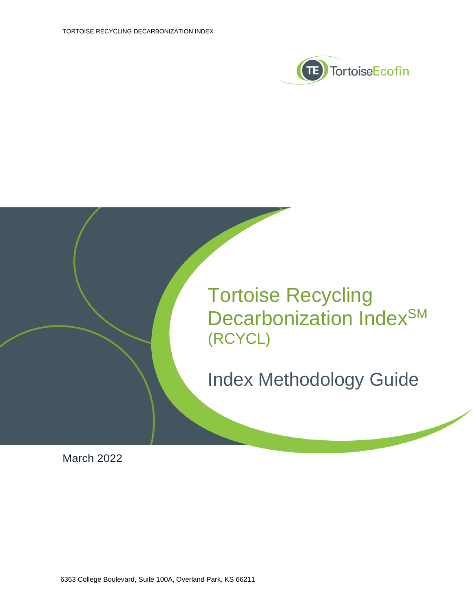



March 2022

6363 College Boulevard, Suite 100A, Overland Park, KS 66211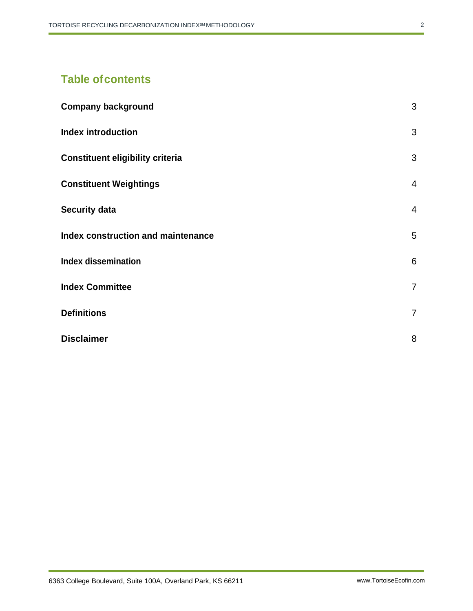# **Table ofcontents**

| <b>Company background</b>                 | 3               |
|-------------------------------------------|-----------------|
| <b>Index introduction</b>                 | 3               |
| <b>Constituent eligibility criteria</b>   | 3               |
| <b>Constituent Weightings</b>             | $\overline{4}$  |
| <b>Security data</b>                      | $\overline{4}$  |
| <b>Index construction and maintenance</b> | 5               |
| <b>Index dissemination</b>                | $6\phantom{1}6$ |
| <b>Index Committee</b>                    | $\overline{7}$  |
| <b>Definitions</b>                        | $\overline{7}$  |
| <b>Disclaimer</b>                         | 8               |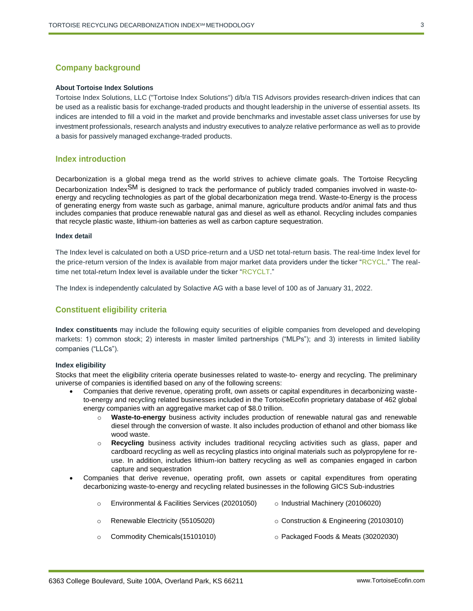# <span id="page-2-0"></span>**Company background**

# **About Tortoise Index Solutions**

Tortoise Index Solutions, LLC ("Tortoise Index Solutions") d/b/a TIS Advisors provides research-driven indices that can be used as a realistic basis for exchange-traded products and thought leadership in the universe of essential assets. Its indices are intended to fill a void in the market and provide benchmarks and investable asset class universes for use by investment professionals, research analysts and industry executives to analyze relative performance as well as to provide a basis for passively managed exchange-traded products.

# <span id="page-2-1"></span>**Index introduction**

Decarbonization is a global mega trend as the world strives to achieve climate goals. The Tortoise Recycling Decarbonization Index<sup>SM</sup> is designed to track the performance of publicly traded companies involved in waste-toenergy and recycling technologies as part of the global decarbonization mega trend. Waste-to-Energy is the process of generating energy from waste such as garbage, animal manure, agriculture products and/or animal fats and thus includes companies that produce renewable natural gas and diesel as well as ethanol. Recycling includes companies that recycle plastic waste, lithium-ion batteries as well as carbon capture sequestration.

#### **Index detail**

The Index level is calculated on both a USD price-return and a USD net total-return basis. The real-time Index level for the price-return version of the Index is available from major market data providers under the ticker "RCYCL." The realtime net total-return Index level is available under the ticker "RCYCLT."

The Index is independently calculated by Solactive AG with a base level of 100 as of January 31, 2022.

# <span id="page-2-2"></span>**Constituent eligibility criteria**

**Index constituents** may include the following equity securities of eligible companies from developed and developing markets: 1) common stock; 2) interests in master limited partnerships ("MLPs"); and 3) interests in limited liability companies ("LLCs").

# **Index eligibility**

Stocks that meet the eligibility criteria operate businesses related to waste-to- energy and recycling. The preliminary universe of companies is identified based on any of the following screens:

- Companies that derive revenue, operating profit, own assets or capital expenditures in decarbonizing wasteto-energy and recycling related businesses included in the TortoiseEcofin proprietary database of 462 global energy companies with an aggregative market cap of \$8.0 trillion.
	- o **Waste-to-energy** business activity includes production of renewable natural gas and renewable diesel through the conversion of waste. It also includes production of ethanol and other biomass like wood waste.
	- o **Recycling** business activity includes traditional recycling activities such as glass, paper and cardboard recycling as well as recycling plastics into original materials such as polypropylene for reuse. In addition, includes lithium-ion battery recycling as well as companies engaged in carbon capture and sequestration
- Companies that derive revenue, operating profit, own assets or capital expenditures from operating decarbonizing waste-to-energy and recycling related businesses in the following GICS Sub-industries

|         | Environmental & Facilities Services (20201050) | $\circ$ Industrial Machinery (20106020)       |
|---------|------------------------------------------------|-----------------------------------------------|
| $\circ$ | Renewable Electricity (55105020)               | $\circ$ Construction & Engineering (20103010) |
| $\circ$ | Commodity Chemicals (15101010)                 | $\circ$ Packaged Foods & Meats (30202030)     |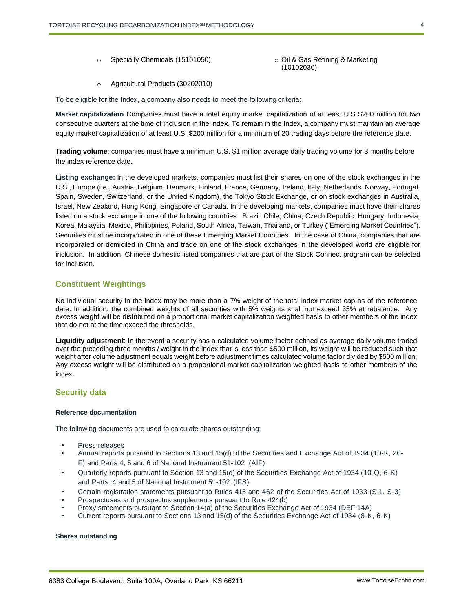- 
- o Specialty Chemicals (15101050) o Oil & Gas Refining & Marketing

(10102030)

o Agricultural Products (30202010)

To be eligible for the Index, a company also needs to meet the following criteria:

**Market capitalization** Companies must have a total equity market capitalization of at least U.S \$200 million for two consecutive quarters at the time of inclusion in the index. To remain in the Index, a company must maintain an average equity market capitalization of at least U.S. \$200 million for a minimum of 20 trading days before the reference date.

**Trading volume**: companies must have a minimum U.S. \$1 million average daily trading volume for 3 months before the index reference date.

**Listing exchange:** In the developed markets, companies must list their shares on one of the stock exchanges in the U.S., Europe (i.e., Austria, Belgium, Denmark, Finland, France, Germany, Ireland, Italy, Netherlands, Norway, Portugal, Spain, Sweden, Switzerland, or the United Kingdom), the Tokyo Stock Exchange, or on stock exchanges in Australia, Israel, New Zealand, Hong Kong, Singapore or Canada. In the developing markets, companies must have their shares listed on a stock exchange in one of the following countries: Brazil, Chile, China, Czech Republic, Hungary, Indonesia, Korea, Malaysia, Mexico, Philippines, Poland, South Africa, Taiwan, Thailand, or Turkey ("Emerging Market Countries"). Securities must be incorporated in one of these Emerging Market Countries. In the case of China, companies that are incorporated or domiciled in China and trade on one of the stock exchanges in the developed world are eligible for inclusion. In addition, Chinese domestic listed companies that are part of the Stock Connect program can be selected for inclusion.

# <span id="page-3-0"></span>**Constituent Weightings**

No individual security in the index may be more than a 7% weight of the total index market cap as of the reference date. In addition, the combined weights of all securities with 5% weights shall not exceed 35% at rebalance. Any excess weight will be distributed on a proportional market capitalization weighted basis to other members of the index that do not at the time exceed the thresholds.

**Liquidity adjustment**: In the event a security has a calculated volume factor defined as average daily volume traded over the preceding three months / weight in the index that is less than \$500 million, its weight will be reduced such that weight after volume adjustment equals weight before adjustment times calculated volume factor divided by \$500 million. Any excess weight will be distributed on a proportional market capitalization weighted basis to other members of the index.

# <span id="page-3-1"></span>**Security data**

# **Reference documentation**

The following documents are used to calculate shares outstanding:

- Press releases
- Annual reports pursuant to Sections 13 and 15(d) of the Securities and Exchange Act of 1934 (10-K, 20- F) and Parts 4, 5 and 6 of National Instrument 51-102 (AIF)
- Quarterly reports pursuant to Section 13 and 15(d) of the Securities Exchange Act of 1934 (10-Q, 6-K) and Parts 4 and 5 of National Instrument 51-102 (IFS)
- Certain registration statements pursuant to Rules 415 and 462 of the Securities Act of 1933 (S-1, S-3)
- Prospectuses and prospectus supplements pursuant to Rule 424(b)
- Proxy statements pursuant to Section 14(a) of the Securities Exchange Act of 1934 (DEF 14A)
- Current reports pursuant to Sections 13 and 15(d) of the Securities Exchange Act of 1934 (8-K, 6-K)

## **Shares outstanding**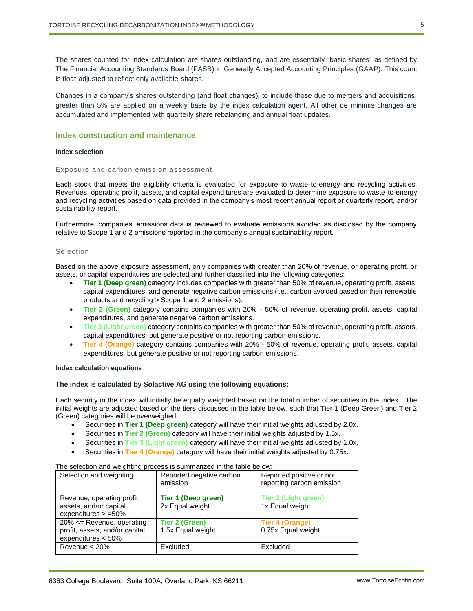The shares counted for index calculation are shares outstanding, and are essentially "basic shares" as defined by The Financial Accounting Standards Board (FASB) in Generally Accepted Accounting Principles (GAAP). This count is float-adjusted to reflect only available shares.

Changes in a company's shares outstanding (and float changes), to include those due to mergers and acquisitions, greater than 5% are applied on a weekly basis by the index calculation agent. All other de minimis changes are accumulated and implemented with quarterly share rebalancing and annual float updates.

# <span id="page-4-0"></span>**Index construction and maintenance**

#### **Index selection**

## Exposure and carbon emission assessment

Each stock that meets the eligibility criteria is evaluated for exposure to waste-to-energy and recycling activities. Revenues, operating profit, assets, and capital expenditures are evaluated to determine exposure to waste-to-energy and recycling activities based on data provided in the company's most recent annual report or quarterly report, and/or sustainability report.

Furthermore, companies' emissions data is reviewed to evaluate emissions avoided as disclosed by the company relative to Scope 1 and 2 emissions reported in the company's annual sustainability report.

# Selection

Based on the above exposure assessment, only companies with greater than 20% of revenue, or operating profit, or assets, or capital expenditures are selected and further classified into the following categories:

- **Tier 1 (Deep green)** category includes companies with greater than 50% of revenue, operating profit, assets, capital expenditures, and generate negative carbon emissions (i.e., carbon avoided based on their renewable products and recycling > Scope 1 and 2 emissions).
- **Tier 2 (Green)** category contains companies with 20% 50% of revenue, operating profit, assets, capital expenditures, and generate negative carbon emissions.
- **Tier 3 (Light green)** category contains companies with greater than 50% of revenue, operating profit, assets, capital expenditures, but generate positive or not reporting carbon emissions.
- **Tier 4 (Orange)** category contains companies with 20% 50% of revenue, operating profit, assets, capital expenditures, but generate positive or not reporting carbon emissions.

## **Index calculation equations**

#### **The index is calculated by Solactive AG using the following equations:**

Each security in the index will initially be equally weighted based on the total number of securities in the Index. The initial weights are adjusted based on the tiers discussed in the table below, such that Tier 1 (Deep Green) and Tier 2 (Green) categories will be overweighed.

- Securities in **Tier 1 (Deep green)** category will have their initial weights adjusted by 2.0x.
- Securities in **Tier 2 (Green)** category will have their initial weights adjusted by 1.5x.
- Securities in **Tier 3 (Light green)** category will have their initial weights adjusted by 1.0x.
- Securities in **Tier 4 (Orange)** category will have their initial weights adjusted by 0.75x.

| Selection and weighting                                                                | Reported negative carbon<br>emission   | Reported positive or not<br>reporting carbon emission |
|----------------------------------------------------------------------------------------|----------------------------------------|-------------------------------------------------------|
| Revenue, operating profit,<br>assets, and/or capital<br>expenditures $> =50\%$         | Tier 1 (Deep green)<br>2x Equal weight | <b>Tier 3 (Light green)</b><br>1x Equal weight        |
| $20\% \leq$ Revenue, operating<br>profit, assets, and/or capital<br>expenditures < 50% | Tier 2 (Green)<br>1.5x Equal weight    | Tier 4 (Orange)<br>0.75x Equal weight                 |
| Revenue $< 20\%$                                                                       | Excluded                               | Excluded                                              |

# The selection and weighting process is summarized in the table below: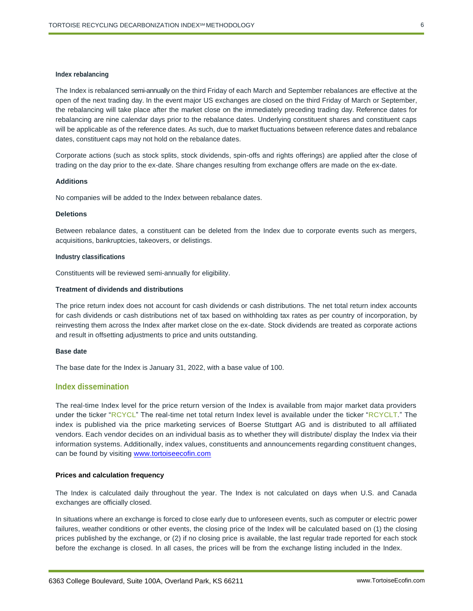#### **Index rebalancing**

The Index is rebalanced semi-annually on the third Friday of each March and September rebalances are effective at the open of the next trading day. In the event major US exchanges are closed on the third Friday of March or September, the rebalancing will take place after the market close on the immediately preceding trading day. Reference dates for rebalancing are nine calendar days prior to the rebalance dates. Underlying constituent shares and constituent caps will be applicable as of the reference dates. As such, due to market fluctuations between reference dates and rebalance dates, constituent caps may not hold on the rebalance dates.

Corporate actions (such as stock splits, stock dividends, spin-offs and rights offerings) are applied after the close of trading on the day prior to the ex-date. Share changes resulting from exchange offers are made on the ex-date.

#### **Additions**

No companies will be added to the Index between rebalance dates.

## **Deletions**

Between rebalance dates, a constituent can be deleted from the Index due to corporate events such as mergers, acquisitions, bankruptcies, takeovers, or delistings.

#### **Industry classifications**

Constituents will be reviewed semi-annually for eligibility.

#### **Treatment of dividends and distributions**

The price return index does not account for cash dividends or cash distributions. The net total return index accounts for cash dividends or cash distributions net of tax based on withholding tax rates as per country of incorporation, by reinvesting them across the Index after market close on the ex-date. Stock dividends are treated as corporate actions and result in offsetting adjustments to price and units outstanding.

## **Base date**

The base date for the Index is January 31, 2022, with a base value of 100.

# <span id="page-5-0"></span>**Index dissemination**

The real-time Index level for the price return version of the Index is available from major market data providers under the ticker "RCYCL" The real-time net total return Index level is available under the ticker "RCYCLT." The index is published via the price marketing services of Boerse Stuttgart AG and is distributed to all affiliated vendors. Each vendor decides on an individual basis as to whether they will distribute/ display the Index via their information systems. Additionally, index values, constituents and announcements regarding constituent changes, can be found by visiting [www.tortoiseecofin.com](http://www.tortoiseecofin.com/)

#### **Prices and calculation frequency**

The Index is calculated daily throughout the year. The Index is not calculated on days when U.S. and Canada exchanges are officially closed.

In situations where an exchange is forced to close early due to unforeseen events, such as computer or electric power failures, weather conditions or other events, the closing price of the Index will be calculated based on (1) the closing prices published by the exchange, or (2) if no closing price is available, the last regular trade reported for each stock before the exchange is closed. In all cases, the prices will be from the exchange listing included in the Index.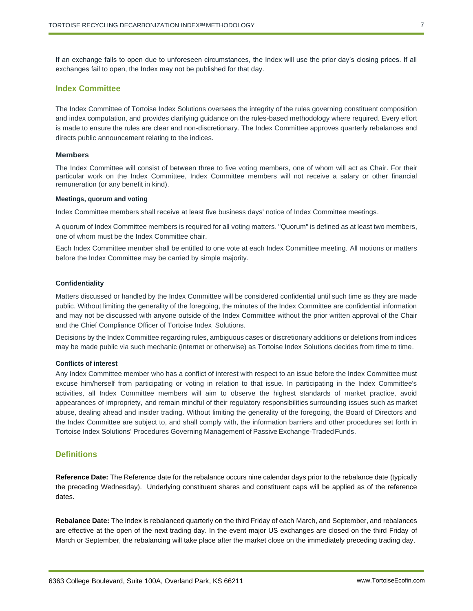If an exchange fails to open due to unforeseen circumstances, the Index will use the prior day's closing prices. If all exchanges fail to open, the Index may not be published for that day.

# <span id="page-6-0"></span>**Index Committee**

The Index Committee of Tortoise Index Solutions oversees the integrity of the rules governing constituent composition and index computation, and provides clarifying guidance on the rules-based methodology where required. Every effort is made to ensure the rules are clear and non-discretionary. The Index Committee approves quarterly rebalances and directs public announcement relating to the indices.

## **Members**

The Index Committee will consist of between three to five voting members, one of whom will act as Chair. For their particular work on the Index Committee, Index Committee members will not receive a salary or other financial remuneration (or any benefit in kind).

#### **Meetings, quorum and voting**

Index Committee members shall receive at least five business days' notice of Index Committee meetings.

A quorum of Index Committee members is required for all voting matters. "Quorum" is defined as at least two members, one of whom must be the Index Committee chair.

Each Index Committee member shall be entitled to one vote at each Index Committee meeting. All motions or matters before the Index Committee may be carried by simple majority.

## **Confidentiality**

Matters discussed or handled by the Index Committee will be considered confidential until such time as they are made public. Without limiting the generality of the foregoing, the minutes of the Index Committee are confidential information and may not be discussed with anyone outside of the Index Committee without the prior written approval of the Chair and the Chief Compliance Officer of Tortoise Index Solutions.

Decisions by the Index Committee regarding rules, ambiguous cases or discretionary additions or deletions from indices may be made public via such mechanic (internet or otherwise) as Tortoise Index Solutions decides from time to time.

# **Conflicts of interest**

Any Index Committee member who has a conflict of interest with respect to an issue before the Index Committee must excuse him/herself from participating or voting in relation to that issue. In participating in the Index Committee's activities, all Index Committee members will aim to observe the highest standards of market practice, avoid appearances of impropriety, and remain mindful of their regulatory responsibilities surrounding issues such as market abuse, dealing ahead and insider trading. Without limiting the generality of the foregoing, the Board of Directors and the Index Committee are subject to, and shall comply with, the information barriers and other procedures set forth in Tortoise Index Solutions' Procedures Governing Management of Passive Exchange-TradedFunds.

# <span id="page-6-1"></span>**Definitions**

**Reference Date:** The Reference date for the rebalance occurs nine calendar days prior to the rebalance date (typically the preceding Wednesday). Underlying constituent shares and constituent caps will be applied as of the reference dates.

**Rebalance Date:** The Index is rebalanced quarterly on the third Friday of each March, and September, and rebalances are effective at the open of the next trading day. In the event major US exchanges are closed on the third Friday of March or September, the rebalancing will take place after the market close on the immediately preceding trading day.